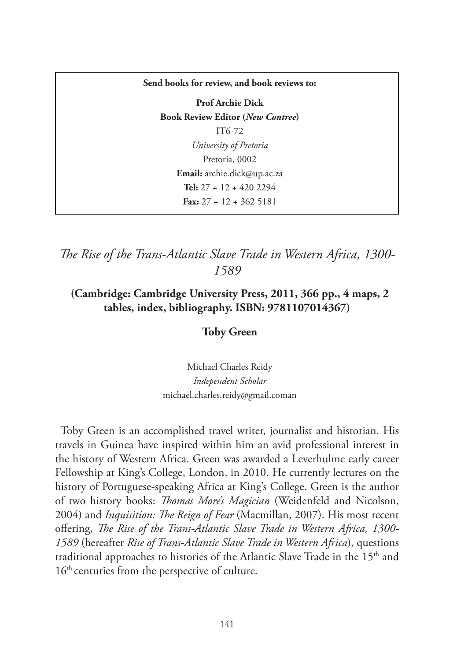#### **Send books for review, and book reviews to:**

**Prof Archie Dick Book Review Editor (***New Contree***)**  IT6-72 *University of Pretoria* Pretoria, 0002 **Email:** archie.dick@up.ac.za **Tel:** 27 + 12 + 420 2294 **Fax:** 27 + 12 + 362 5181

*The Rise of the Trans-Atlantic Slave Trade in Western Africa, 1300- 1589*

# **(Cambridge: Cambridge University Press, 2011, 366 pp., 4 maps, 2 tables, index, bibliography. ISBN: 9781107014367)**

## **Toby Green**

Michael Charles Reidy *Independent Scholar* michael.charles.reidy@gmail.coman

Toby Green is an accomplished travel writer, journalist and historian. His travels in Guinea have inspired within him an avid professional interest in the history of Western Africa. Green was awarded a Leverhulme early career Fellowship at King's College, London, in 2010. He currently lectures on the history of Portuguese-speaking Africa at King's College. Green is the author of two history books: *Thomas More's Magician* (Weidenfeld and Nicolson, 2004) and *Inquisition: The Reign of Fear* (Macmillan, 2007). His most recent offering, *The Rise of the Trans-Atlantic Slave Trade in Western Africa, 1300- 1589* (hereafter *Rise of Trans-Atlantic Slave Trade in Western Africa*), questions traditional approaches to histories of the Atlantic Slave Trade in the 15<sup>th</sup> and 16<sup>th</sup> centuries from the perspective of culture.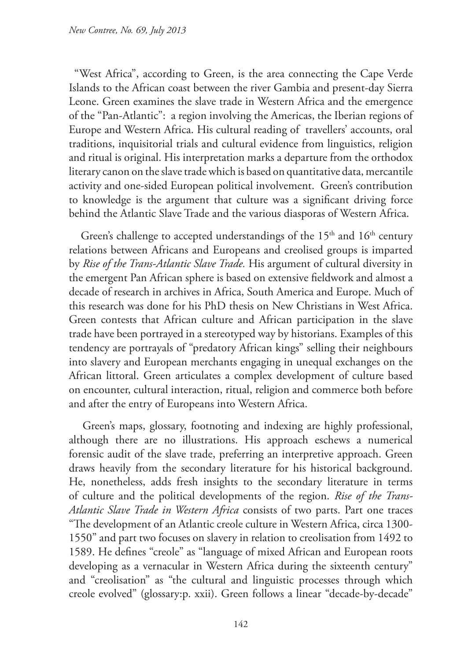"West Africa", according to Green, is the area connecting the Cape Verde Islands to the African coast between the river Gambia and present-day Sierra Leone. Green examines the slave trade in Western Africa and the emergence of the "Pan-Atlantic": a region involving the Americas, the Iberian regions of Europe and Western Africa. His cultural reading of travellers' accounts, oral traditions, inquisitorial trials and cultural evidence from linguistics, religion and ritual is original. His interpretation marks a departure from the orthodox literary canon on the slave trade which is based on quantitative data, mercantile activity and one-sided European political involvement. Green's contribution to knowledge is the argument that culture was a significant driving force behind the Atlantic Slave Trade and the various diasporas of Western Africa.

Green's challenge to accepted understandings of the  $15<sup>th</sup>$  and  $16<sup>th</sup>$  century relations between Africans and Europeans and creolised groups is imparted by *Rise of the Trans-Atlantic Slave Trade.* His argument of cultural diversity in the emergent Pan African sphere is based on extensive fieldwork and almost a decade of research in archives in Africa, South America and Europe. Much of this research was done for his PhD thesis on New Christians in West Africa. Green contests that African culture and African participation in the slave trade have been portrayed in a stereotyped way by historians. Examples of this tendency are portrayals of "predatory African kings" selling their neighbours into slavery and European merchants engaging in unequal exchanges on the African littoral. Green articulates a complex development of culture based on encounter, cultural interaction, ritual, religion and commerce both before and after the entry of Europeans into Western Africa.

 Green's maps, glossary, footnoting and indexing are highly professional, although there are no illustrations. His approach eschews a numerical forensic audit of the slave trade, preferring an interpretive approach. Green draws heavily from the secondary literature for his historical background. He, nonetheless, adds fresh insights to the secondary literature in terms of culture and the political developments of the region. *Rise of the Trans-Atlantic Slave Trade in Western Africa* consists of two parts. Part one traces "The development of an Atlantic creole culture in Western Africa, circa 1300- 1550" and part two focuses on slavery in relation to creolisation from 1492 to 1589. He defines "creole" as "language of mixed African and European roots developing as a vernacular in Western Africa during the sixteenth century" and "creolisation" as "the cultural and linguistic processes through which creole evolved" (glossary:p. xxii). Green follows a linear "decade-by-decade"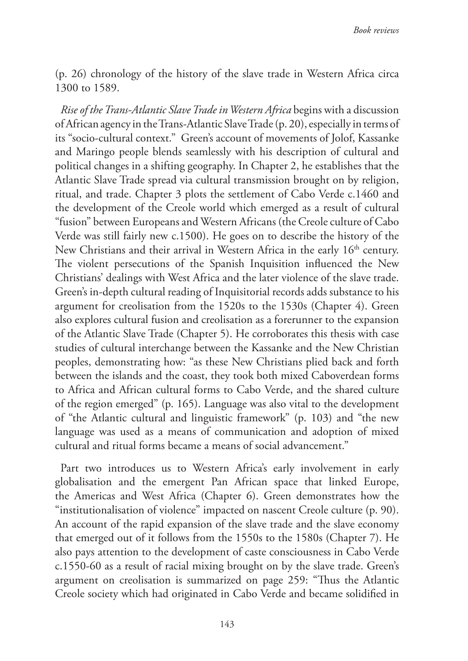(p. 26) chronology of the history of the slave trade in Western Africa circa 1300 to 1589.

*Rise of the Trans-Atlantic Slave Trade in Western Africa* begins with a discussion of African agency in the Trans-Atlantic Slave Trade (p. 20), especially in terms of its "socio-cultural context." Green's account of movements of Jolof, Kassanke and Maringo people blends seamlessly with his description of cultural and political changes in a shifting geography. In Chapter 2, he establishes that the Atlantic Slave Trade spread via cultural transmission brought on by religion, ritual, and trade. Chapter 3 plots the settlement of Cabo Verde c.1460 and the development of the Creole world which emerged as a result of cultural "fusion" between Europeans and Western Africans (the Creole culture of Cabo Verde was still fairly new c.1500). He goes on to describe the history of the New Christians and their arrival in Western Africa in the early 16<sup>th</sup> century. The violent persecutions of the Spanish Inquisition influenced the New Christians' dealings with West Africa and the later violence of the slave trade. Green's in-depth cultural reading of Inquisitorial records adds substance to his argument for creolisation from the 1520s to the 1530s (Chapter 4). Green also explores cultural fusion and creolisation as a forerunner to the expansion of the Atlantic Slave Trade (Chapter 5). He corroborates this thesis with case studies of cultural interchange between the Kassanke and the New Christian peoples, demonstrating how: "as these New Christians plied back and forth between the islands and the coast, they took both mixed Caboverdean forms to Africa and African cultural forms to Cabo Verde, and the shared culture of the region emerged" (p. 165). Language was also vital to the development of "the Atlantic cultural and linguistic framework" (p. 103) and "the new language was used as a means of communication and adoption of mixed cultural and ritual forms became a means of social advancement."

Part two introduces us to Western Africa's early involvement in early globalisation and the emergent Pan African space that linked Europe, the Americas and West Africa (Chapter 6). Green demonstrates how the "institutionalisation of violence" impacted on nascent Creole culture (p. 90). An account of the rapid expansion of the slave trade and the slave economy that emerged out of it follows from the 1550s to the 1580s (Chapter 7). He also pays attention to the development of caste consciousness in Cabo Verde c.1550-60 as a result of racial mixing brought on by the slave trade. Green's argument on creolisation is summarized on page 259: "Thus the Atlantic Creole society which had originated in Cabo Verde and became solidified in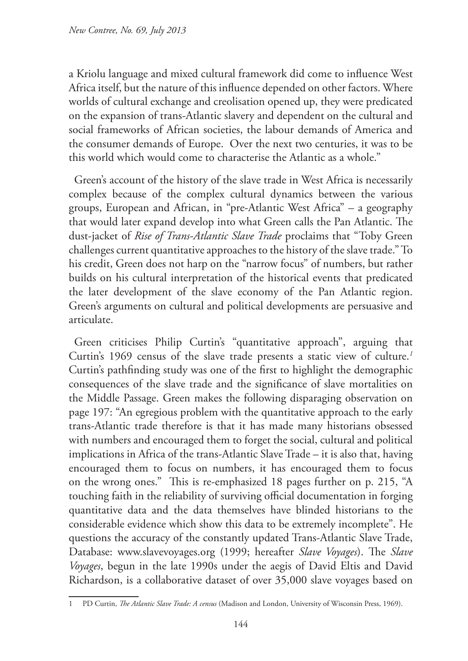a Kriolu language and mixed cultural framework did come to influence West Africa itself, but the nature of this influence depended on other factors. Where worlds of cultural exchange and creolisation opened up, they were predicated on the expansion of trans-Atlantic slavery and dependent on the cultural and social frameworks of African societies, the labour demands of America and the consumer demands of Europe. Over the next two centuries, it was to be this world which would come to characterise the Atlantic as a whole."

Green's account of the history of the slave trade in West Africa is necessarily complex because of the complex cultural dynamics between the various groups, European and African, in "pre-Atlantic West Africa" – a geography that would later expand develop into what Green calls the Pan Atlantic. The dust-jacket of *Rise of Trans-Atlantic Slave Trade* proclaims that "Toby Green challenges current quantitative approaches to the history of the slave trade." To his credit, Green does not harp on the "narrow focus" of numbers, but rather builds on his cultural interpretation of the historical events that predicated the later development of the slave economy of the Pan Atlantic region. Green's arguments on cultural and political developments are persuasive and articulate.

Green criticises Philip Curtin's "quantitative approach", arguing that Curtin's 1969 census of the slave trade presents a static view of culture.*<sup>1</sup>* Curtin's pathfinding study was one of the first to highlight the demographic consequences of the slave trade and the significance of slave mortalities on the Middle Passage. Green makes the following disparaging observation on page 197: "An egregious problem with the quantitative approach to the early trans-Atlantic trade therefore is that it has made many historians obsessed with numbers and encouraged them to forget the social, cultural and political implications in Africa of the trans-Atlantic Slave Trade – it is also that, having encouraged them to focus on numbers, it has encouraged them to focus on the wrong ones." This is re-emphasized 18 pages further on p. 215, "A touching faith in the reliability of surviving official documentation in forging quantitative data and the data themselves have blinded historians to the considerable evidence which show this data to be extremely incomplete". He questions the accuracy of the constantly updated Trans-Atlantic Slave Trade, Database: www.slavevoyages.org (1999; hereafter *Slave Voyages*). The *Slave Voyages*, begun in the late 1990s under the aegis of David Eltis and David Richardson, is a collaborative dataset of over 35,000 slave voyages based on

<sup>1</sup> PD Curtin, *The Atlantic Slave Trade: A census* (Madison and London, University of Wisconsin Press, 1969).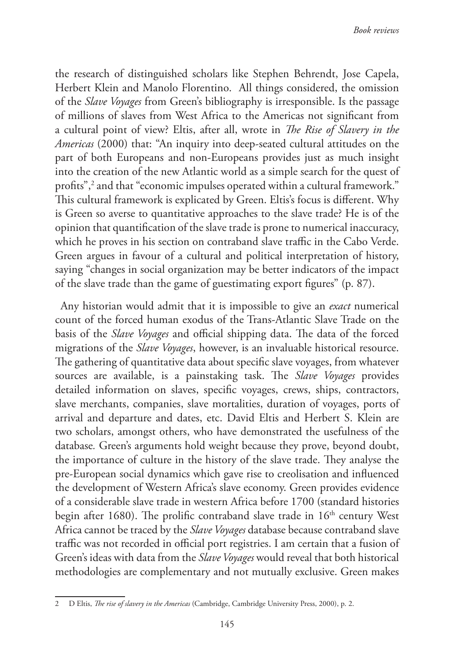the research of distinguished scholars like Stephen Behrendt, Jose Capela, Herbert Klein and Manolo Florentino. All things considered, the omission of the *Slave Voyages* from Green's bibliography is irresponsible. Is the passage of millions of slaves from West Africa to the Americas not significant from a cultural point of view? Eltis, after all, wrote in *The Rise of Slavery in the Americas* (2000) that: "An inquiry into deep-seated cultural attitudes on the part of both Europeans and non-Europeans provides just as much insight into the creation of the new Atlantic world as a simple search for the quest of profits",<sup>2</sup> and that "economic impulses operated within a cultural framework." This cultural framework is explicated by Green. Eltis's focus is different. Why is Green so averse to quantitative approaches to the slave trade? He is of the opinion that quantification of the slave trade is prone to numerical inaccuracy, which he proves in his section on contraband slave traffic in the Cabo Verde. Green argues in favour of a cultural and political interpretation of history, saying "changes in social organization may be better indicators of the impact of the slave trade than the game of guestimating export figures" (p. 87).

Any historian would admit that it is impossible to give an *exact* numerical count of the forced human exodus of the Trans-Atlantic Slave Trade on the basis of the *Slave Voyages* and official shipping data. The data of the forced migrations of the *Slave Voyages*, however, is an invaluable historical resource. The gathering of quantitative data about specific slave voyages, from whatever sources are available, is a painstaking task. The *Slave Voyages* provides detailed information on slaves, specific voyages, crews, ships, contractors, slave merchants, companies, slave mortalities, duration of voyages, ports of arrival and departure and dates, etc. David Eltis and Herbert S. Klein are two scholars, amongst others, who have demonstrated the usefulness of the database*.* Green's arguments hold weight because they prove, beyond doubt, the importance of culture in the history of the slave trade. They analyse the pre-European social dynamics which gave rise to creolisation and influenced the development of Western Africa's slave economy. Green provides evidence of a considerable slave trade in western Africa before 1700 (standard histories begin after 1680). The prolific contraband slave trade in  $16<sup>th</sup>$  century West Africa cannot be traced by the *Slave Voyages* database because contraband slave traffic was not recorded in official port registries. I am certain that a fusion of Green's ideas with data from the *Slave Voyages* would reveal that both historical methodologies are complementary and not mutually exclusive. Green makes

<sup>2</sup> D Eltis, *The rise of slavery in the Americas* (Cambridge, Cambridge University Press, 2000), p. 2.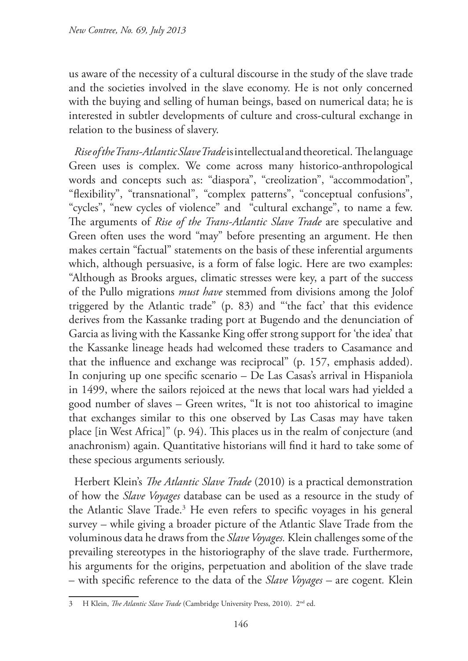us aware of the necessity of a cultural discourse in the study of the slave trade and the societies involved in the slave economy. He is not only concerned with the buying and selling of human beings, based on numerical data; he is interested in subtler developments of culture and cross-cultural exchange in relation to the business of slavery.

*Rise of the Trans-Atlantic Slave Trade* is intellectual and theoretical. The language Green uses is complex. We come across many historico-anthropological words and concepts such as: "diaspora", "creolization", "accommodation", "flexibility", "transnational", "complex patterns", "conceptual confusions", "cycles", "new cycles of violence" and "cultural exchange", to name a few. The arguments of *Rise of the Trans-Atlantic Slave Trade* are speculative and Green often uses the word "may" before presenting an argument. He then makes certain "factual" statements on the basis of these inferential arguments which, although persuasive, is a form of false logic. Here are two examples: "Although as Brooks argues, climatic stresses were key, a part of the success of the Pullo migrations *must have* stemmed from divisions among the Jolof triggered by the Atlantic trade" (p. 83) and "'the fact' that this evidence derives from the Kassanke trading port at Bugendo and the denunciation of Garcia as living with the Kassanke King offer strong support for 'the idea' that the Kassanke lineage heads had welcomed these traders to Casamance and that the influence and exchange was reciprocal" (p. 157, emphasis added). In conjuring up one specific scenario – De Las Casas's arrival in Hispaniola in 1499, where the sailors rejoiced at the news that local wars had yielded a good number of slaves – Green writes, "It is not too ahistorical to imagine that exchanges similar to this one observed by Las Casas may have taken place [in West Africa]" (p. 94). This places us in the realm of conjecture (and anachronism) again. Quantitative historians will find it hard to take some of these specious arguments seriously.

Herbert Klein's *The Atlantic Slave Trade* (2010) is a practical demonstration of how the *Slave Voyages* database can be used as a resource in the study of the Atlantic Slave Trade.<sup>3</sup> He even refers to specific voyages in his general survey – while giving a broader picture of the Atlantic Slave Trade from the voluminous data he draws from the *Slave Voyages.* Klein challenges some of the prevailing stereotypes in the historiography of the slave trade. Furthermore, his arguments for the origins, perpetuation and abolition of the slave trade – with specific reference to the data of the *Slave Voyages –* are cogent*.* Klein

<sup>3</sup> H Klein, *The Atlantic Slave Trade* (Cambridge University Press, 2010). 2nd ed.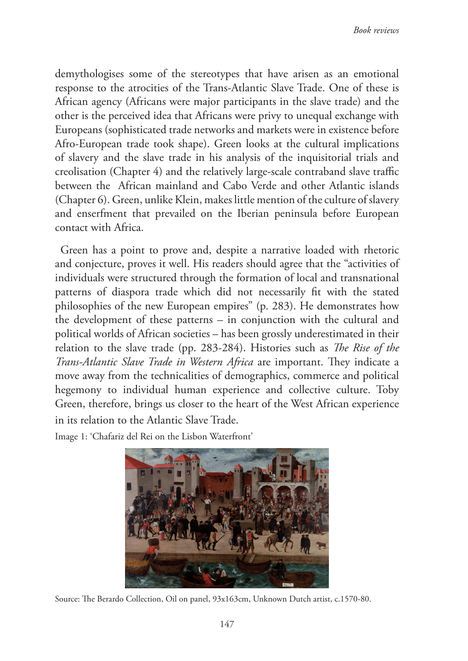demythologises some of the stereotypes that have arisen as an emotional response to the atrocities of the Trans-Atlantic Slave Trade. One of these is African agency (Africans were major participants in the slave trade) and the other is the perceived idea that Africans were privy to unequal exchange with Europeans (sophisticated trade networks and markets were in existence before Afro-European trade took shape). Green looks at the cultural implications of slavery and the slave trade in his analysis of the inquisitorial trials and creolisation (Chapter 4) and the relatively large-scale contraband slave traffic between the African mainland and Cabo Verde and other Atlantic islands (Chapter 6). Green, unlike Klein, makes little mention of the culture of slavery and enserfment that prevailed on the Iberian peninsula before European contact with Africa.

Green has a point to prove and, despite a narrative loaded with rhetoric and conjecture, proves it well. His readers should agree that the "activities of individuals were structured through the formation of local and transnational patterns of diaspora trade which did not necessarily fit with the stated philosophies of the new European empires" (p. 283). He demonstrates how the development of these patterns – in conjunction with the cultural and political worlds of African societies – has been grossly underestimated in their relation to the slave trade (pp. 283-284). Histories such as *The Rise of the Trans-Atlantic Slave Trade in Western Africa* are important. They indicate a move away from the technicalities of demographics, commerce and political hegemony to individual human experience and collective culture. Toby Green, therefore, brings us closer to the heart of the West African experience in its relation to the Atlantic Slave Trade.

Image 1: 'Chafariz del Rei on the Lisbon Waterfront'



Source: The Berardo Collection, Oil on panel, 93x163cm, Unknown Dutch artist, c.1570-80.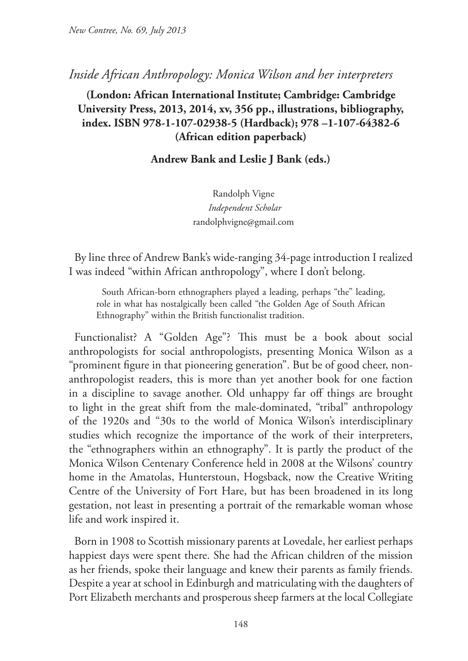# *Inside African Anthropology: Monica Wilson and her interpreters*

# **(London: African International Institute; Cambridge: Cambridge University Press, 2013, 2014, xv, 356 pp., illustrations, bibliography, index. ISBN 978-1-107-02938-5 (Hardback); 978 –1-107-64382-6 (African edition paperback)**

## **Andrew Bank and Leslie J Bank (eds.)**

Randolph Vigne  *Independent Scholar* randolphvigne@gmail.com

By line three of Andrew Bank's wide-ranging 34-page introduction I realized I was indeed "within African anthropology", where I don't belong.

South African-born ethnographers played a leading, perhaps "the" leading, role in what has nostalgically been called "the Golden Age of South African Ethnography" within the British functionalist tradition.

Functionalist? A "Golden Age"? This must be a book about social anthropologists for social anthropologists, presenting Monica Wilson as a "prominent figure in that pioneering generation". But be of good cheer, nonanthropologist readers, this is more than yet another book for one faction in a discipline to savage another. Old unhappy far off things are brought to light in the great shift from the male-dominated, "tribal" anthropology of the 1920s and "30s to the world of Monica Wilson's interdisciplinary studies which recognize the importance of the work of their interpreters, the "ethnographers within an ethnography". It is partly the product of the Monica Wilson Centenary Conference held in 2008 at the Wilsons' country home in the Amatolas, Hunterstoun, Hogsback, now the Creative Writing Centre of the University of Fort Hare, but has been broadened in its long gestation, not least in presenting a portrait of the remarkable woman whose life and work inspired it.

Born in 1908 to Scottish missionary parents at Lovedale, her earliest perhaps happiest days were spent there. She had the African children of the mission as her friends, spoke their language and knew their parents as family friends. Despite a year at school in Edinburgh and matriculating with the daughters of Port Elizabeth merchants and prosperous sheep farmers at the local Collegiate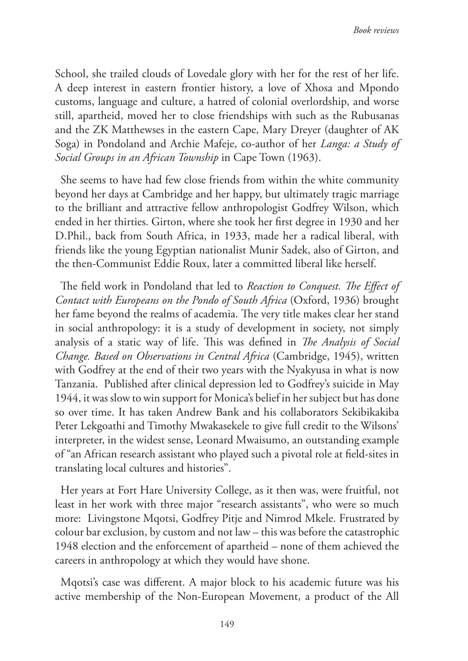School, she trailed clouds of Lovedale glory with her for the rest of her life. A deep interest in eastern frontier history, a love of Xhosa and Mpondo customs, language and culture, a hatred of colonial overlordship, and worse still, apartheid, moved her to close friendships with such as the Rubusanas and the ZK Matthewses in the eastern Cape, Mary Dreyer (daughter of AK Soga) in Pondoland and Archie Mafeje, co-author of her *Langa: a Study of Social Groups in an African Township* in Cape Town (1963).

She seems to have had few close friends from within the white community beyond her days at Cambridge and her happy, but ultimately tragic marriage to the brilliant and attractive fellow anthropologist Godfrey Wilson, which ended in her thirties. Girton, where she took her first degree in 1930 and her D.Phil., back from South Africa, in 1933, made her a radical liberal, with friends like the young Egyptian nationalist Munir Sadek, also of Girton, and the then-Communist Eddie Roux, later a committed liberal like herself.

The field work in Pondoland that led to *Reaction to Conquest. The Effect of Contact with Europeans on the Pondo of South Africa* (Oxford, 1936) brought her fame beyond the realms of academia. The very title makes clear her stand in social anthropology: it is a study of development in society, not simply analysis of a static way of life. This was defined in *The Analysis of Social Change. Based on Observations in Central Africa* (Cambridge, 1945), written with Godfrey at the end of their two years with the Nyakyusa in what is now Tanzania. Published after clinical depression led to Godfrey's suicide in May 1944, it was slow to win support for Monica's belief in her subject but has done so over time. It has taken Andrew Bank and his collaborators Sekibikakiba Peter Lekgoathi and Timothy Mwakasekele to give full credit to the Wilsons' interpreter, in the widest sense, Leonard Mwaisumo, an outstanding example of "an African research assistant who played such a pivotal role at field-sites in translating local cultures and histories".

Her years at Fort Hare University College, as it then was, were fruitful, not least in her work with three major "research assistants", who were so much more: Livingstone Mqotsi, Godfrey Pitje and Nimrod Mkele. Frustrated by colour bar exclusion, by custom and not law – this was before the catastrophic 1948 election and the enforcement of apartheid – none of them achieved the careers in anthropology at which they would have shone.

Mqotsi's case was different. A major block to his academic future was his active membership of the Non-European Movement, a product of the All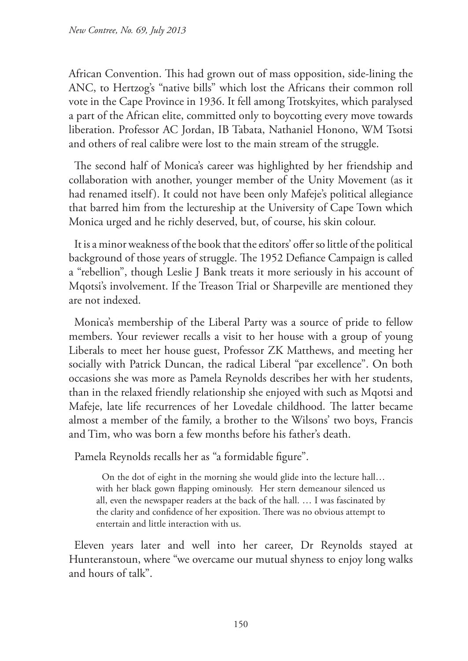African Convention. This had grown out of mass opposition, side-lining the ANC, to Hertzog's "native bills" which lost the Africans their common roll vote in the Cape Province in 1936. It fell among Trotskyites, which paralysed a part of the African elite, committed only to boycotting every move towards liberation. Professor AC Jordan, IB Tabata, Nathaniel Honono, WM Tsotsi and others of real calibre were lost to the main stream of the struggle.

The second half of Monica's career was highlighted by her friendship and collaboration with another, younger member of the Unity Movement (as it had renamed itself). It could not have been only Mafeje's political allegiance that barred him from the lectureship at the University of Cape Town which Monica urged and he richly deserved, but, of course, his skin colour.

It is a minor weakness of the book that the editors' offer so little of the political background of those years of struggle. The 1952 Defiance Campaign is called a "rebellion", though Leslie J Bank treats it more seriously in his account of Mqotsi's involvement. If the Treason Trial or Sharpeville are mentioned they are not indexed.

Monica's membership of the Liberal Party was a source of pride to fellow members. Your reviewer recalls a visit to her house with a group of young Liberals to meet her house guest, Professor ZK Matthews, and meeting her socially with Patrick Duncan, the radical Liberal "par excellence". On both occasions she was more as Pamela Reynolds describes her with her students, than in the relaxed friendly relationship she enjoyed with such as Mqotsi and Mafeje, late life recurrences of her Lovedale childhood. The latter became almost a member of the family, a brother to the Wilsons' two boys, Francis and Tim, who was born a few months before his father's death.

Pamela Reynolds recalls her as "a formidable figure".

On the dot of eight in the morning she would glide into the lecture hall… with her black gown flapping ominously. Her stern demeanour silenced us all, even the newspaper readers at the back of the hall. … I was fascinated by the clarity and confidence of her exposition. There was no obvious attempt to entertain and little interaction with us.

Eleven years later and well into her career, Dr Reynolds stayed at Hunteranstoun, where "we overcame our mutual shyness to enjoy long walks and hours of talk".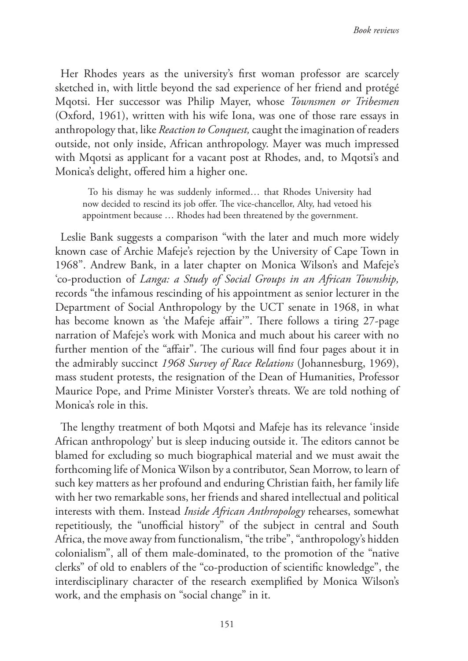Her Rhodes years as the university's first woman professor are scarcely sketched in, with little beyond the sad experience of her friend and protégé Mqotsi. Her successor was Philip Mayer, whose *Townsmen or Tribesmen*  (Oxford, 1961), written with his wife Iona, was one of those rare essays in anthropology that, like *Reaction to Conquest,* caught the imagination of readers outside, not only inside, African anthropology. Mayer was much impressed with Mqotsi as applicant for a vacant post at Rhodes, and, to Mqotsi's and Monica's delight, offered him a higher one.

To his dismay he was suddenly informed… that Rhodes University had now decided to rescind its job offer. The vice-chancellor, Alty, had vetoed his appointment because … Rhodes had been threatened by the government.

Leslie Bank suggests a comparison "with the later and much more widely known case of Archie Mafeje's rejection by the University of Cape Town in 1968". Andrew Bank, in a later chapter on Monica Wilson's and Mafeje's 'co-production of *Langa: a Study of Social Groups in an African Township,*  records "the infamous rescinding of his appointment as senior lecturer in the Department of Social Anthropology by the UCT senate in 1968, in what has become known as 'the Mafeje affair'". There follows a tiring 27-page narration of Mafeje's work with Monica and much about his career with no further mention of the "affair". The curious will find four pages about it in the admirably succinct *1968 Survey of Race Relations* (Johannesburg, 1969), mass student protests, the resignation of the Dean of Humanities, Professor Maurice Pope, and Prime Minister Vorster's threats. We are told nothing of Monica's role in this.

The lengthy treatment of both Mqotsi and Mafeje has its relevance 'inside African anthropology' but is sleep inducing outside it. The editors cannot be blamed for excluding so much biographical material and we must await the forthcoming life of Monica Wilson by a contributor, Sean Morrow, to learn of such key matters as her profound and enduring Christian faith, her family life with her two remarkable sons, her friends and shared intellectual and political interests with them. Instead *Inside African Anthropology* rehearses, somewhat repetitiously, the "unofficial history" of the subject in central and South Africa, the move away from functionalism, "the tribe", "anthropology's hidden colonialism", all of them male-dominated, to the promotion of the "native clerks" of old to enablers of the "co-production of scientific knowledge", the interdisciplinary character of the research exemplified by Monica Wilson's work, and the emphasis on "social change" in it.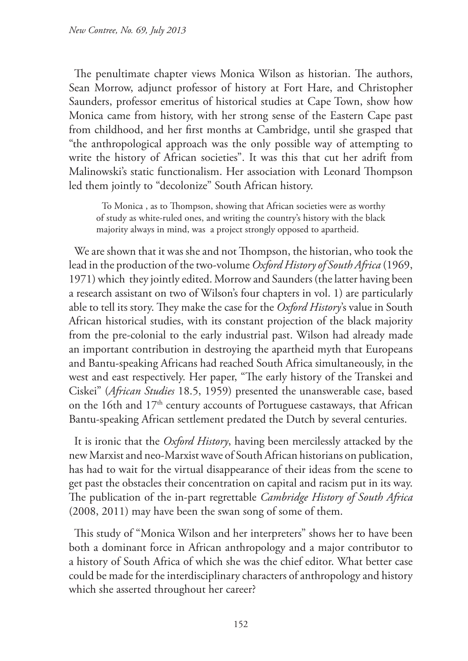The penultimate chapter views Monica Wilson as historian. The authors, Sean Morrow, adjunct professor of history at Fort Hare, and Christopher Saunders, professor emeritus of historical studies at Cape Town, show how Monica came from history, with her strong sense of the Eastern Cape past from childhood, and her first months at Cambridge, until she grasped that "the anthropological approach was the only possible way of attempting to write the history of African societies". It was this that cut her adrift from Malinowski's static functionalism. Her association with Leonard Thompson led them jointly to "decolonize" South African history.

To Monica , as to Thompson, showing that African societies were as worthy of study as white-ruled ones, and writing the country's history with the black majority always in mind, was a project strongly opposed to apartheid.

We are shown that it was she and not Thompson, the historian, who took the lead in the production of the two-volume *Oxford History of South Africa* (1969, 1971) which they jointly edited. Morrow and Saunders (the latter having been a research assistant on two of Wilson's four chapters in vol. 1) are particularly able to tell its story. They make the case for the *Oxford History*'s value in South African historical studies, with its constant projection of the black majority from the pre-colonial to the early industrial past. Wilson had already made an important contribution in destroying the apartheid myth that Europeans and Bantu-speaking Africans had reached South Africa simultaneously, in the west and east respectively. Her paper, "The early history of the Transkei and Ciskei" (*African Studies* 18.5, 1959) presented the unanswerable case, based on the 16th and 17<sup>th</sup> century accounts of Portuguese castaways, that African Bantu-speaking African settlement predated the Dutch by several centuries.

It is ironic that the *Oxford History*, having been mercilessly attacked by the new Marxist and neo-Marxist wave of South African historians on publication, has had to wait for the virtual disappearance of their ideas from the scene to get past the obstacles their concentration on capital and racism put in its way. The publication of the in-part regrettable *Cambridge History of South Africa*  (2008, 2011) may have been the swan song of some of them.

This study of "Monica Wilson and her interpreters" shows her to have been both a dominant force in African anthropology and a major contributor to a history of South Africa of which she was the chief editor. What better case could be made for the interdisciplinary characters of anthropology and history which she asserted throughout her career?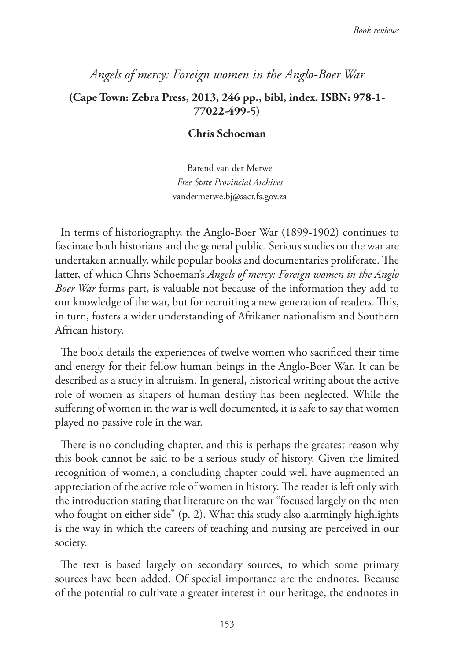# *Angels of mercy: Foreign women in the Anglo-Boer War* **(Cape Town: Zebra Press, 2013, 246 pp., bibl, index. ISBN: 978-1- 77022-499-5)**

## **Chris Schoeman**

Barend van der Merwe *Free State Provincial Archives* vandermerwe.bj@sacr.fs.gov.za

In terms of historiography, the Anglo-Boer War (1899-1902) continues to fascinate both historians and the general public. Serious studies on the war are undertaken annually, while popular books and documentaries proliferate. The latter, of which Chris Schoeman's *Angels of mercy: Foreign women in the Anglo Boer War* forms part, is valuable not because of the information they add to our knowledge of the war, but for recruiting a new generation of readers. This, in turn, fosters a wider understanding of Afrikaner nationalism and Southern African history.

The book details the experiences of twelve women who sacrificed their time and energy for their fellow human beings in the Anglo-Boer War. It can be described as a study in altruism. In general, historical writing about the active role of women as shapers of human destiny has been neglected. While the suffering of women in the war is well documented, it is safe to say that women played no passive role in the war.

There is no concluding chapter, and this is perhaps the greatest reason why this book cannot be said to be a serious study of history. Given the limited recognition of women, a concluding chapter could well have augmented an appreciation of the active role of women in history. The reader is left only with the introduction stating that literature on the war "focused largely on the men who fought on either side" (p. 2). What this study also alarmingly highlights is the way in which the careers of teaching and nursing are perceived in our society.

The text is based largely on secondary sources, to which some primary sources have been added. Of special importance are the endnotes. Because of the potential to cultivate a greater interest in our heritage, the endnotes in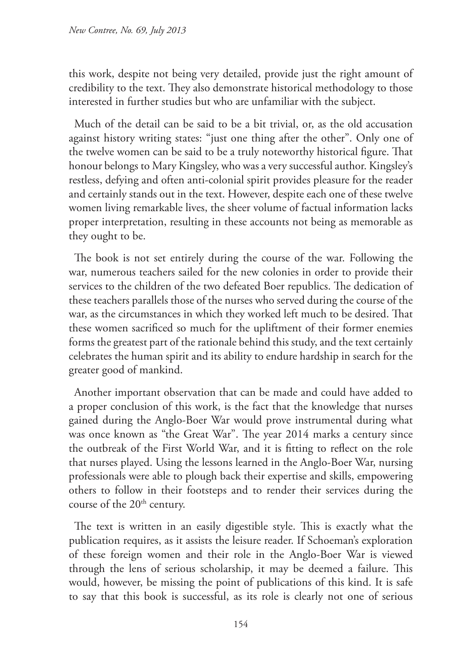this work, despite not being very detailed, provide just the right amount of credibility to the text. They also demonstrate historical methodology to those interested in further studies but who are unfamiliar with the subject.

Much of the detail can be said to be a bit trivial, or, as the old accusation against history writing states: "just one thing after the other". Only one of the twelve women can be said to be a truly noteworthy historical figure. That honour belongs to Mary Kingsley, who was a very successful author. Kingsley's restless, defying and often anti-colonial spirit provides pleasure for the reader and certainly stands out in the text. However, despite each one of these twelve women living remarkable lives, the sheer volume of factual information lacks proper interpretation, resulting in these accounts not being as memorable as they ought to be.

The book is not set entirely during the course of the war. Following the war, numerous teachers sailed for the new colonies in order to provide their services to the children of the two defeated Boer republics. The dedication of these teachers parallels those of the nurses who served during the course of the war, as the circumstances in which they worked left much to be desired. That these women sacrificed so much for the upliftment of their former enemies forms the greatest part of the rationale behind this study, and the text certainly celebrates the human spirit and its ability to endure hardship in search for the greater good of mankind.

Another important observation that can be made and could have added to a proper conclusion of this work, is the fact that the knowledge that nurses gained during the Anglo-Boer War would prove instrumental during what was once known as "the Great War". The year 2014 marks a century since the outbreak of the First World War, and it is fitting to reflect on the role that nurses played. Using the lessons learned in the Anglo-Boer War, nursing professionals were able to plough back their expertise and skills, empowering others to follow in their footsteps and to render their services during the course of the 20<sup>th</sup> century.

The text is written in an easily digestible style. This is exactly what the publication requires, as it assists the leisure reader. If Schoeman's exploration of these foreign women and their role in the Anglo-Boer War is viewed through the lens of serious scholarship, it may be deemed a failure. This would, however, be missing the point of publications of this kind. It is safe to say that this book is successful, as its role is clearly not one of serious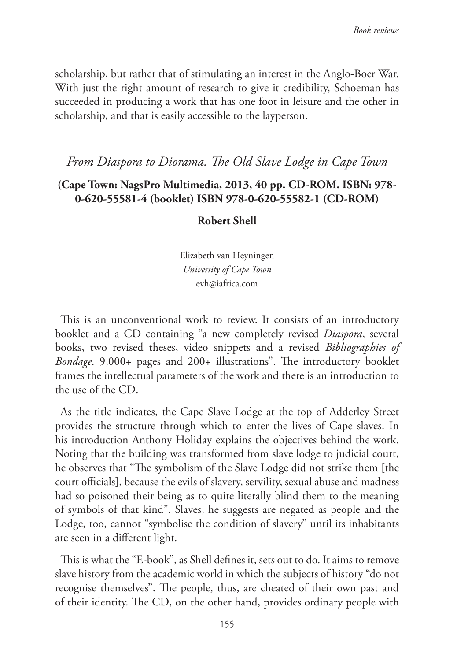scholarship, but rather that of stimulating an interest in the Anglo-Boer War. With just the right amount of research to give it credibility, Schoeman has succeeded in producing a work that has one foot in leisure and the other in scholarship, and that is easily accessible to the layperson.

# *From Diaspora to Diorama. The Old Slave Lodge in Cape Town*

## **(Cape Town: NagsPro Multimedia, 2013, 40 pp. CD-ROM. ISBN: 978- 0-620-55581-4 (booklet) ISBN 978-0-620-55582-1 (CD-ROM)**

### **Robert Shell**

Elizabeth van Heyningen *University of Cape Town* evh@iafrica.com

This is an unconventional work to review. It consists of an introductory booklet and a CD containing "a new completely revised *Diaspora*, several books, two revised theses, video snippets and a revised *Bibliographies of Bondage*. 9,000+ pages and 200+ illustrations". The introductory booklet frames the intellectual parameters of the work and there is an introduction to the use of the CD.

As the title indicates, the Cape Slave Lodge at the top of Adderley Street provides the structure through which to enter the lives of Cape slaves. In his introduction Anthony Holiday explains the objectives behind the work. Noting that the building was transformed from slave lodge to judicial court, he observes that "The symbolism of the Slave Lodge did not strike them [the court officials], because the evils of slavery, servility, sexual abuse and madness had so poisoned their being as to quite literally blind them to the meaning of symbols of that kind". Slaves, he suggests are negated as people and the Lodge, too, cannot "symbolise the condition of slavery" until its inhabitants are seen in a different light.

This is what the "E-book", as Shell defines it, sets out to do. It aims to remove slave history from the academic world in which the subjects of history "do not recognise themselves". The people, thus, are cheated of their own past and of their identity. The CD, on the other hand, provides ordinary people with